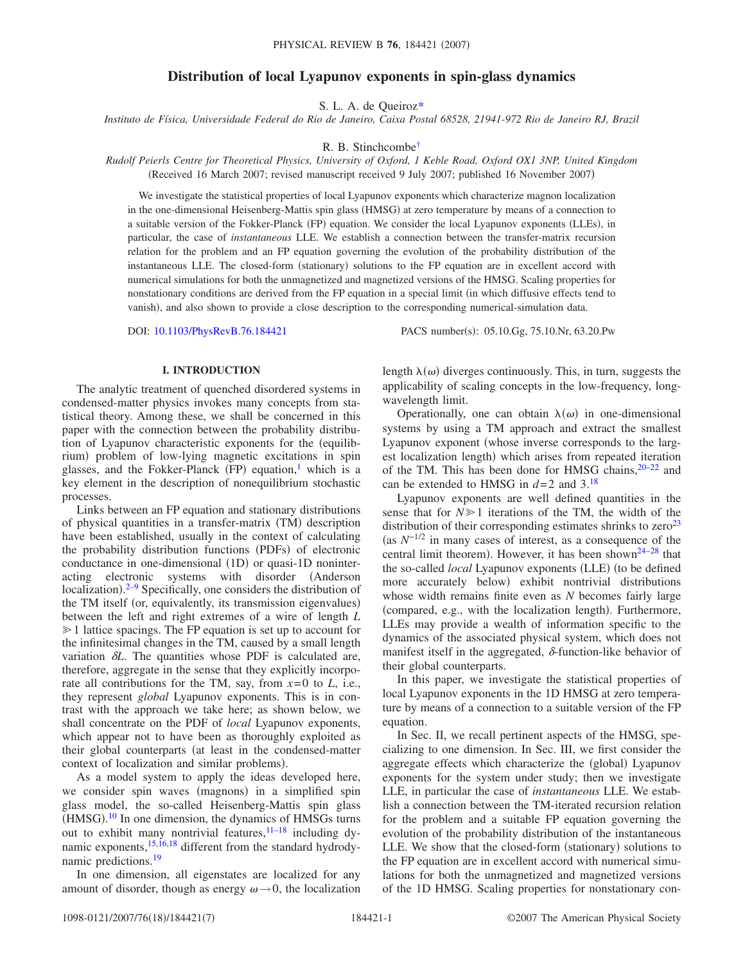## **Distribution of local Lyapunov exponents in spin-glass dynamics**

S. L. A. de Queiro[z\\*](#page-6-0)

*Instituto de Física, Universidade Federal do Rio de Janeiro, Caixa Postal 68528, 21941-972 Rio de Janeiro RJ, Brazil*

R. B. Stinchcomb[e†](#page-6-1)

*Rudolf Peierls Centre for Theoretical Physics, University of Oxford, 1 Keble Road, Oxford OX1 3NP, United Kingdom* (Received 16 March 2007; revised manuscript received 9 July 2007; published 16 November 2007)

We investigate the statistical properties of local Lyapunov exponents which characterize magnon localization in the one-dimensional Heisenberg-Mattis spin glass (HMSG) at zero temperature by means of a connection to a suitable version of the Fokker-Planck (FP) equation. We consider the local Lyapunov exponents (LLEs), in particular, the case of *instantaneous* LLE. We establish a connection between the transfer-matrix recursion relation for the problem and an FP equation governing the evolution of the probability distribution of the instantaneous LLE. The closed-form (stationary) solutions to the FP equation are in excellent accord with numerical simulations for both the unmagnetized and magnetized versions of the HMSG. Scaling properties for nonstationary conditions are derived from the FP equation in a special limit (in which diffusive effects tend to vanish), and also shown to provide a close description to the corresponding numerical-simulation data.

DOI: [10.1103/PhysRevB.76.184421](http://dx.doi.org/10.1103/PhysRevB.76.184421)

PACS number(s): 05.10.Gg, 75.10.Nr, 63.20.Pw

#### **I. INTRODUCTION**

The analytic treatment of quenched disordered systems in condensed-matter physics invokes many concepts from statistical theory. Among these, we shall be concerned in this paper with the connection between the probability distribution of Lyapunov characteristic exponents for the (equilibrium) problem of low-lying magnetic excitations in spin glasses, and the Fokker-Planck (FP) equation,<sup>1</sup> which is a key element in the description of nonequilibrium stochastic processes.

Links between an FP equation and stationary distributions of physical quantities in a transfer-matrix (TM) description have been established, usually in the context of calculating the probability distribution functions (PDFs) of electronic conductance in one-dimensional (1D) or quasi-1D noninteracting electronic systems with disorder Anderson localization).<sup>[2](#page-6-3)[–9](#page-6-4)</sup> Specifically, one considers the distribution of the TM itself (or, equivalently, its transmission eigenvalues) between the left and right extremes of a wire of length *L*  $\geq 1$  lattice spacings. The FP equation is set up to account for the infinitesimal changes in the TM, caused by a small length variation  $\delta L$ . The quantities whose PDF is calculated are, therefore, aggregate in the sense that they explicitly incorporate all contributions for the TM, say, from  $x=0$  to  $L$ , i.e., they represent *global* Lyapunov exponents. This is in contrast with the approach we take here; as shown below, we shall concentrate on the PDF of *local* Lyapunov exponents, which appear not to have been as thoroughly exploited as their global counterparts (at least in the condensed-matter context of localization and similar problems).

As a model system to apply the ideas developed here, we consider spin waves (magnons) in a simplified spin glass model, the so-called Heisenberg-Mattis spin glass (HMSG).<sup>[10](#page-6-5)</sup> In one dimension, the dynamics of HMSGs turns out to exhibit many nontrivial features,  $11-18$  including dy-namic exponents,<sup>15[,16,](#page-6-9)[18](#page-6-7)</sup> different from the standard hydrodynamic predictions.<sup>19</sup>

In one dimension, all eigenstates are localized for any amount of disorder, though as energy  $\omega \rightarrow 0$ , the localization

length  $\lambda(\omega)$  diverges continuously. This, in turn, suggests the applicability of scaling concepts in the low-frequency, longwavelength limit.

Operationally, one can obtain  $\lambda(\omega)$  in one-dimensional systems by using a TM approach and extract the smallest Lyapunov exponent (whose inverse corresponds to the largest localization length) which arises from repeated iteration of the TM. This has been done for HMSG chains,  $20-22$  $20-22$  and can be extended to HMSG in  $d=2$  and  $3.^{18}$ 

Lyapunov exponents are well defined quantities in the sense that for  $N \geq 1$  iterations of the TM, the width of the distribution of their corresponding estimates shrinks to  $zero^{23}$ as *N*−1/2 in many cases of interest, as a consequence of the central limit theorem). However, it has been shown $24-28$  that the so-called *local* Lyapunov exponents (LLE) (to be defined more accurately below) exhibit nontrivial distributions whose width remains finite even as *N* becomes fairly large (compared, e.g., with the localization length). Furthermore, LLEs may provide a wealth of information specific to the dynamics of the associated physical system, which does not manifest itself in the aggregated,  $\delta$ -function-like behavior of their global counterparts.

In this paper, we investigate the statistical properties of local Lyapunov exponents in the 1D HMSG at zero temperature by means of a connection to a suitable version of the FP equation.

In Sec. II, we recall pertinent aspects of the HMSG, specializing to one dimension. In Sec. III, we first consider the aggregate effects which characterize the (global) Lyapunov exponents for the system under study; then we investigate LLE, in particular the case of *instantaneous* LLE. We establish a connection between the TM-iterated recursion relation for the problem and a suitable FP equation governing the evolution of the probability distribution of the instantaneous LLE. We show that the closed-form (stationary) solutions to the FP equation are in excellent accord with numerical simulations for both the unmagnetized and magnetized versions of the 1D HMSG. Scaling properties for nonstationary con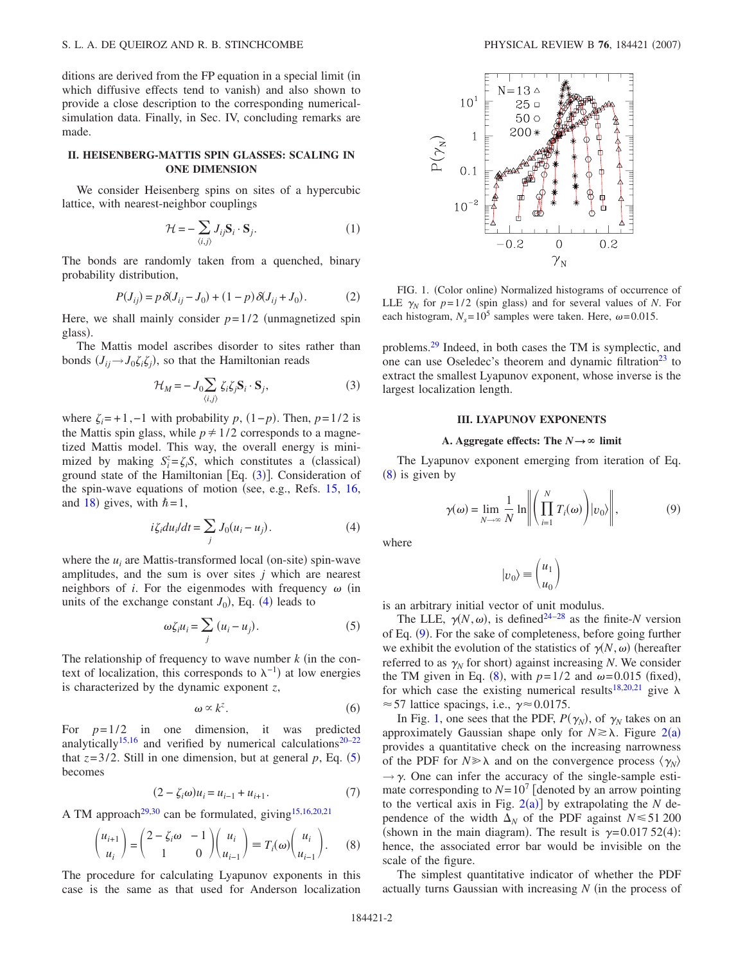ditions are derived from the FP equation in a special limit (in which diffusive effects tend to vanish) and also shown to provide a close description to the corresponding numericalsimulation data. Finally, in Sec. IV, concluding remarks are made.

## **II. HEISENBERG-MATTIS SPIN GLASSES: SCALING IN ONE DIMENSION**

We consider Heisenberg spins on sites of a hypercubic lattice, with nearest-neighbor couplings

$$
\mathcal{H} = -\sum_{\langle i,j \rangle} J_{ij} \mathbf{S}_i \cdot \mathbf{S}_j. \tag{1}
$$

The bonds are randomly taken from a quenched, binary probability distribution,

$$
P(J_{ij}) = p \,\delta(J_{ij} - J_0) + (1 - p) \,\delta(J_{ij} + J_0). \tag{2}
$$

Here, we shall mainly consider  $p=1/2$  (unmagnetized spin glass).

<span id="page-1-0"></span>The Mattis model ascribes disorder to sites rather than bonds  $(J_{ij} \rightarrow J_0 \zeta_i \zeta_j)$ , so that the Hamiltonian reads

$$
\mathcal{H}_M = -J_0 \sum_{\langle i,j \rangle} \zeta_i \zeta_j \mathbf{S}_i \cdot \mathbf{S}_j,\tag{3}
$$

where  $\zeta_i = +1, -1$  with probability *p*,  $(1-p)$ . Then,  $p=1/2$  is the Mattis spin glass, while  $p \neq 1/2$  corresponds to a magnetized Mattis model. This way, the overall energy is minimized by making  $S_i^z = \zeta_i S$ , which constitutes a (classical) ground state of the Hamiltonian [Eq.  $(3)$  $(3)$  $(3)$ ]. Consideration of the spin-wave equations of motion (see, e.g., Refs.  $15$ ,  $16$ , and [18](#page-6-7)) gives, with  $\hbar = 1$ ,

$$
i\zeta_i du_i/dt = \sum_j J_0(u_i - u_j). \tag{4}
$$

<span id="page-1-1"></span>where the  $u_i$  are Mattis-transformed local (on-site) spin-wave amplitudes, and the sum is over sites *j* which are nearest neighbors of *i*. For the eigenmodes with frequency  $\omega$  (in units of the exchange constant  $J_0$ ), Eq. ([4](#page-1-1)) leads to

$$
\omega \zeta_i u_i = \sum_j (u_i - u_j). \tag{5}
$$

<span id="page-1-2"></span>The relationship of frequency to wave number  $k$  (in the context of localization, this corresponds to  $\lambda^{-1}$ ) at low energies is characterized by the dynamic exponent *z*,

$$
\omega \propto k^z. \tag{6}
$$

<span id="page-1-7"></span>For  $p=1/2$  in one dimension, it was predicted analytically<sup>15,[16](#page-6-9)</sup> and verified by numerical calculations<sup>20–[22](#page-6-12)</sup> that  $z=3/2$ . Still in one dimension, but at general  $p$ , Eq. ([5](#page-1-2)) becomes

$$
(2 - \zeta_i \omega)u_i = u_{i-1} + u_{i+1}.
$$
 (7)

<span id="page-1-6"></span><span id="page-1-3"></span>A TM approach<sup>29[,30](#page-6-17)</sup> can be formulated, giving<sup>15[,16](#page-6-9)[,20](#page-6-11)[,21](#page-6-18)</sup>

$$
\begin{pmatrix} u_{i+1} \\ u_i \end{pmatrix} = \begin{pmatrix} 2 - \zeta_i \omega & -1 \\ 1 & 0 \end{pmatrix} \begin{pmatrix} u_i \\ u_{i-1} \end{pmatrix} \equiv T_i(\omega) \begin{pmatrix} u_i \\ u_{i-1} \end{pmatrix}.
$$
 (8)

The procedure for calculating Lyapunov exponents in this case is the same as that used for Anderson localization

<span id="page-1-5"></span>

FIG. 1. (Color online) Normalized histograms of occurrence of LLE  $\gamma_N$  for  $p=1/2$  (spin glass) and for several values of *N*. For each histogram,  $N_s = 10^5$  samples were taken. Here,  $\omega = 0.015$ .

problems[.29](#page-6-16) Indeed, in both cases the TM is symplectic, and one can use Oseledec's theorem and dynamic filtration<sup>23</sup> to extract the smallest Lyapunov exponent, whose inverse is the largest localization length.

#### **III. LYAPUNOV EXPONENTS**

### A. Aggregate effects: The  $N \rightarrow \infty$  limit

<span id="page-1-4"></span>The Lyapunov exponent emerging from iteration of Eq.  $(8)$  $(8)$  $(8)$  is given by

$$
\gamma(\omega) = \lim_{N \to \infty} \frac{1}{N} \ln \left\| \left( \prod_{i=1}^{N} T_i(\omega) \right) |v_0\rangle \right\|, \tag{9}
$$

where

$$
|v_0\rangle \equiv \binom{u_1}{u_0}
$$

is an arbitrary initial vector of unit modulus.

The LLE,  $\gamma(N,\omega)$ , is defined<sup>24[–28](#page-6-15)</sup> as the finite-*N* version of Eq. ([9](#page-1-4)). For the sake of completeness, before going further we exhibit the evolution of the statistics of  $\gamma(N,\omega)$  (hereafter referred to as  $\gamma_N$  for short) against increasing *N*. We consider the TM given in Eq. ([8](#page-1-3)), with  $p=1/2$  and  $\omega=0.015$  (fixed), for which case the existing numerical results<sup>18[,20](#page-6-11)[,21](#page-6-18)</sup> give  $\lambda$  $\approx$  57 lattice spacings, i.e.,  $\gamma \approx 0.0175$ .

In Fig. [1,](#page-1-5) one sees that the PDF,  $P(\gamma_N)$ , of  $\gamma_N$  takes on an approximately Gaussian shape only for  $N \ge \lambda$ . Figure [2](#page-2-0)(a) provides a quantitative check on the increasing narrowness of the PDF for  $N \gg \lambda$  and on the convergence process  $\langle \gamma_N \rangle$  $\rightarrow \gamma$ . One can infer the accuracy of the single-sample estimate corresponding to  $N=10^7$  [denoted by an arrow pointing to the vertical axis in Fig.  $2(a)$  $2(a)$ ] by extrapolating the *N* dependence of the width  $\Delta_N$  of the PDF against  $N \le 51200$ (shown in the main diagram). The result is  $\gamma = 0.01752(4)$ : hence, the associated error bar would be invisible on the scale of the figure.

The simplest quantitative indicator of whether the PDF actually turns Gaussian with increasing N (in the process of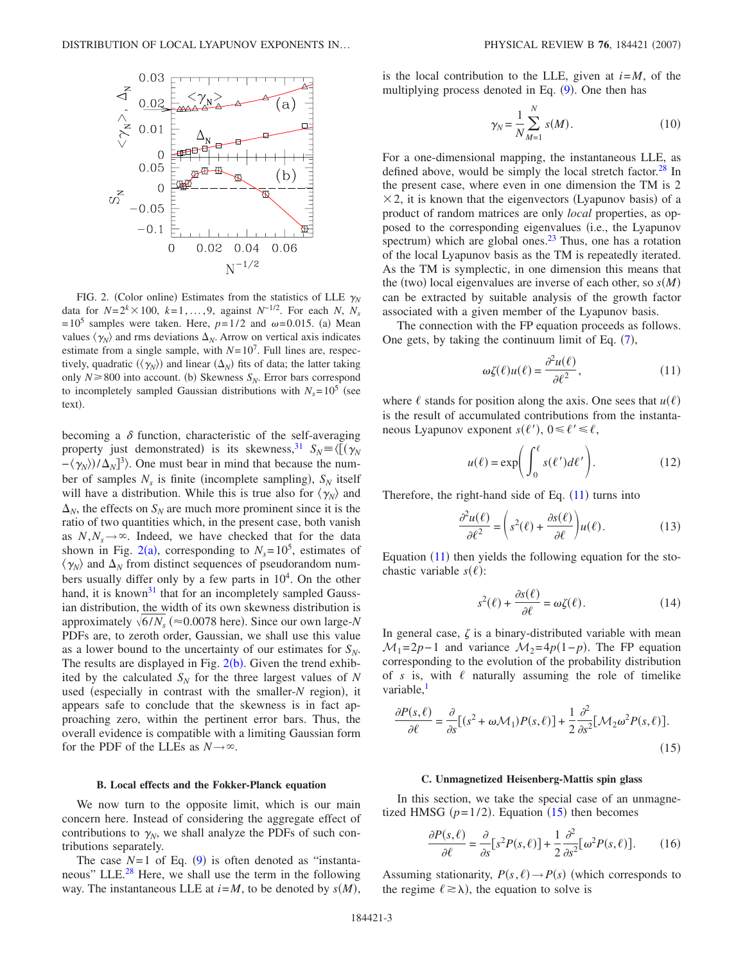<span id="page-2-0"></span>

FIG. 2. (Color online) Estimates from the statistics of LLE  $\gamma_N$ data for  $N=2^k \times 100$ ,  $k=1,...,9$ , against  $N^{-1/2}$ . For each *N*,  $N_s$  $=10^5$  samples were taken. Here,  $p=1/2$  and  $\omega=0.015$ . (a) Mean values  $\langle \gamma_N \rangle$  and rms deviations  $\Delta_N$ . Arrow on vertical axis indicates estimate from a single sample, with  $N=10^7$ . Full lines are, respectively, quadratic  $(\langle \gamma_N \rangle)$  and linear  $(\Delta_N)$  fits of data; the latter taking only  $N \ge 800$  into account. (b) Skewness  $S_N$ . Error bars correspond to incompletely sampled Gaussian distributions with  $N_s = 10^5$  (see text).

becoming a  $\delta$  function, characteristic of the self-averaging property just demonstrated) is its skewness,<sup>31</sup>  $S_N = \langle [(\gamma_N)] \rangle$  $-\langle \gamma_N \rangle / \Delta_N$ <sup>3</sup> $\rangle$ . One must bear in mind that because the number of samples  $N_s$  is finite (incomplete sampling),  $S_N$  itself will have a distribution. While this is true also for  $\langle \gamma_N \rangle$  and  $\Delta_N$ , the effects on  $S_N$  are much more prominent since it is the ratio of two quantities which, in the present case, both vanish as  $N, N_s \rightarrow \infty$ . Indeed, we have checked that for the data shown in Fig. [2](#page-2-0)(a), corresponding to  $N_s = 10^5$ , estimates of  $\langle \gamma_N \rangle$  and  $\Delta_N$  from distinct sequences of pseudorandom numbers usually differ only by a few parts in  $10<sup>4</sup>$ . On the other hand, it is known<sup>31</sup> that for an incompletely sampled Gaussian distribution, the width of its own skewness distribution is approximately  $\sqrt{6/N_s}$  ( $\approx 0.0078$  here). Since our own large-*N* PDFs are, to zeroth order, Gaussian, we shall use this value as a lower bound to the uncertainty of our estimates for  $S_N$ . The results are displayed in Fig.  $2(b)$  $2(b)$ . Given the trend exhibited by the calculated  $S_N$  for the three largest values of N used (especially in contrast with the smaller-N region), it appears safe to conclude that the skewness is in fact approaching zero, within the pertinent error bars. Thus, the overall evidence is compatible with a limiting Gaussian form for the PDF of the LLEs as  $N \rightarrow \infty$ .

#### **B. Local effects and the Fokker-Planck equation**

We now turn to the opposite limit, which is our main concern here. Instead of considering the aggregate effect of contributions to  $\gamma_N$ , we shall analyze the PDFs of such contributions separately.

The case  $N=1$  of Eq. ([9](#page-1-4)) is often denoted as "instantaneous" LLE.<sup>28</sup> Here, we shall use the term in the following way. The instantaneous LLE at  $i = M$ , to be denoted by  $s(M)$ ,

<span id="page-2-3"></span>is the local contribution to the LLE, given at *i*=*M*, of the multiplying process denoted in Eq. ([9](#page-1-4)). One then has

$$
\gamma_N = \frac{1}{N} \sum_{M=1}^{N} s(M). \tag{10}
$$

For a one-dimensional mapping, the instantaneous LLE, as defined above, would be simply the local stretch factor.<sup>28</sup> In the present case, where even in one dimension the TM is 2  $\times$  2, it is known that the eigenvectors (Lyapunov basis) of a product of random matrices are only *local* properties, as opposed to the corresponding eigenvalues (i.e., the Lyapunov spectrum) which are global ones. $2<sup>3</sup>$  Thus, one has a rotation of the local Lyapunov basis as the TM is repeatedly iterated. As the TM is symplectic, in one dimension this means that the (two) local eigenvalues are inverse of each other, so  $s(M)$ can be extracted by suitable analysis of the growth factor associated with a given member of the Lyapunov basis.

<span id="page-2-1"></span>The connection with the FP equation proceeds as follows. One gets, by taking the continuum limit of Eq.  $(7)$  $(7)$  $(7)$ ,

$$
\omega \zeta(\ell) u(\ell) = \frac{\partial^2 u(\ell)}{\partial \ell^2},\tag{11}
$$

where  $\ell$  stands for position along the axis. One sees that  $u(\ell)$ is the result of accumulated contributions from the instantaneous Lyapunov exponent  $s(\ell')$ ,  $0 \leq \ell' \leq \ell$ ,

$$
u(\ell) = \exp\biggl(\int_0^{\ell} s(\ell')d\ell'\biggr). \tag{12}
$$

Therefore, the right-hand side of Eq.  $(11)$  $(11)$  $(11)$  turns into

$$
\frac{\partial^2 u(\ell)}{\partial \ell^2} = \left(s^2(\ell) + \frac{\partial s(\ell)}{\partial \ell}\right)u(\ell). \tag{13}
$$

Equation  $(11)$  $(11)$  $(11)$  then yields the following equation for the stochastic variable  $s(\ell)$ :

$$
s^{2}(\ell) + \frac{\partial s(\ell)}{\partial \ell} = \omega \zeta(\ell). \tag{14}
$$

In general case,  $\zeta$  is a binary-distributed variable with mean  $M_1=2p-1$  and variance  $M_2=4p(1-p)$ . The FP equation corresponding to the evolution of the probability distribution of  $s$  is, with  $\ell$  naturally assuming the role of timelike variable,<sup>1</sup>

<span id="page-2-2"></span>
$$
\frac{\partial P(s,\ell)}{\partial \ell} = \frac{\partial}{\partial s} [(s^2 + \omega \mathcal{M}_1) P(s,\ell)] + \frac{1}{2} \frac{\partial^2}{\partial s^2} [\mathcal{M}_2 \omega^2 P(s,\ell)].
$$
\n(15)

#### **C. Unmagnetized Heisenberg-Mattis spin glass**

<span id="page-2-4"></span>In this section, we take the special case of an unmagnetized HMSG  $(p=1/2)$ . Equation  $(15)$  $(15)$  $(15)$  then becomes

$$
\frac{\partial P(s,\ell)}{\partial \ell} = \frac{\partial}{\partial s} [s^2 P(s,\ell)] + \frac{1}{2} \frac{\partial^2}{\partial s^2} [\omega^2 P(s,\ell)].
$$
 (16)

Assuming stationarity,  $P(s, \ell) \rightarrow P(s)$  (which corresponds to the regime  $\ell \ge \lambda$ ), the equation to solve is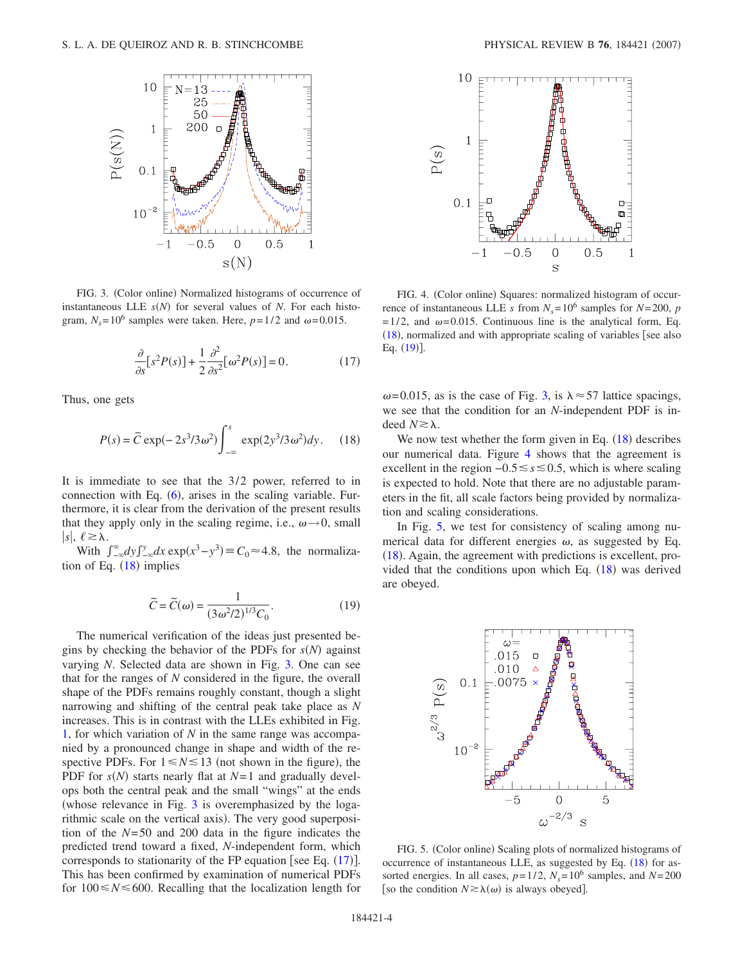<span id="page-3-1"></span>

FIG. 3. (Color online) Normalized histograms of occurrence of instantaneous LLE  $s(N)$  for several values of *N*. For each histogram,  $N_s = 10^6$  samples were taken. Here,  $p = 1/2$  and  $\omega = 0.015$ .

$$
\frac{\partial}{\partial s} [s^2 P(s)] + \frac{1}{2} \frac{\partial^2}{\partial s^2} [\omega^2 P(s)] = 0.
$$
 (17)

<span id="page-3-2"></span><span id="page-3-0"></span>Thus, one gets

$$
P(s) = \tilde{C} \exp(-2s^3/3\omega^2) \int_{-\infty}^{s} \exp(2y^3/3\omega^2) dy. \quad (18)
$$

It is immediate to see that the 3/2 power, referred to in connection with Eq.  $(6)$  $(6)$  $(6)$ , arises in the scaling variable. Furthermore, it is clear from the derivation of the present results that they apply only in the scaling regime, i.e.,  $\omega \rightarrow 0$ , small  $|s|, \ell \geq \lambda.$ 

<span id="page-3-5"></span>With  $\int_{-\infty}^{\infty} dy \int_{-\infty}^{y} dx \exp(x^3 - y^3) \equiv C_0 \approx 4.8$ , the normalization of Eq.  $(18)$  $(18)$  $(18)$  implies

$$
\widetilde{C} = \widetilde{C}(\omega) = \frac{1}{(3\omega^2/2)^{1/3}C_0}.\tag{19}
$$

The numerical verification of the ideas just presented begins by checking the behavior of the PDFs for  $s(N)$  against varying *N*. Selected data are shown in Fig. [3.](#page-3-1) One can see that for the ranges of *N* considered in the figure, the overall shape of the PDFs remains roughly constant, though a slight narrowing and shifting of the central peak take place as *N* increases. This is in contrast with the LLEs exhibited in Fig. [1,](#page-1-5) for which variation of *N* in the same range was accompanied by a pronounced change in shape and width of the respective PDFs. For  $1 \le N \le 13$  (not shown in the figure), the PDF for  $s(N)$  starts nearly flat at  $N=1$  and gradually develops both the central peak and the small "wings" at the ends whose relevance in Fig. [3](#page-3-1) is overemphasized by the logarithmic scale on the vertical axis). The very good superposition of the *N*=50 and 200 data in the figure indicates the predicted trend toward a fixed, *N*-independent form, which corresponds to stationarity of the FP equation [see Eq.  $(17)$  $(17)$  $(17)$ ]. This has been confirmed by examination of numerical PDFs for  $100 \le N \le 600$ . Recalling that the localization length for

<span id="page-3-3"></span>

FIG. 4. (Color online) Squares: normalized histogram of occurrence of instantaneous LLE *s* from  $N_s = 10^6$  samples for  $N = 200$ , *p*  $=1/2$ , and  $\omega$ =0.015. Continuous line is the analytical form, Eq.  $(18)$  $(18)$  $(18)$ , normalized and with appropriate scaling of variables [see also Eq. ([19](#page-3-5))].

 $\omega$ =0.015, as is the case of Fig. [3,](#page-3-1) is  $\lambda \approx 57$  lattice spacings, we see that the condition for an *N*-independent PDF is indeed  $N \ge \lambda$ .

We now test whether the form given in Eq.  $(18)$  $(18)$  $(18)$  describes our numerical data. Figure [4](#page-3-3) shows that the agreement is excellent in the region  $-0.5 \le s \le 0.5$ , which is where scaling is expected to hold. Note that there are no adjustable parameters in the fit, all scale factors being provided by normalization and scaling considerations.

In Fig. [5,](#page-3-4) we test for consistency of scaling among numerical data for different energies  $\omega$ , as suggested by Eq. ([18](#page-3-0)). Again, the agreement with predictions is excellent, provided that the conditions upon which Eq.  $(18)$  $(18)$  $(18)$  was derived are obeyed.

<span id="page-3-4"></span>

FIG. 5. (Color online) Scaling plots of normalized histograms of occurrence of instantaneous LLE, as suggested by Eq. ([18](#page-3-0)) for assorted energies. In all cases,  $p=1/2$ ,  $N_s=10^6$  samples, and  $N=200$ [so the condition  $N \ge \lambda(\omega)$  is always obeyed].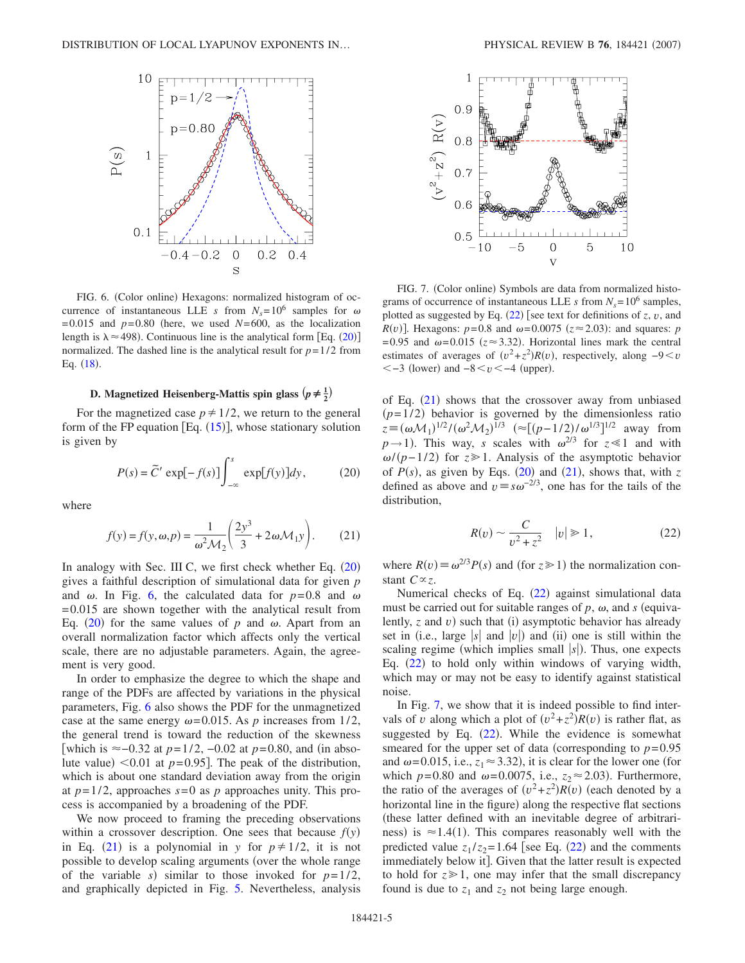<span id="page-4-1"></span>

FIG. 6. (Color online) Hexagons: normalized histogram of occurrence of instantaneous LLE *s* from  $N_s = 10^6$  samples for  $\omega$  $=0.015$  and  $p=0.80$  (here, we used  $N=600$ , as the localization length is  $\lambda \approx 498$ ). Continuous line is the analytical form [Eq. ([20](#page-4-0))] normalized. The dashed line is the analytical result for  $p=1/2$  from Eq.  $(18)$  $(18)$  $(18)$ .

# **D.** Magnetized Heisenberg-Mattis spin glass  $\left(p \neq \frac{1}{2}\right)$

<span id="page-4-0"></span>For the magnetized case  $p \neq 1/2$ , we return to the general form of the FP equation  $[Eq. (15)]$  $[Eq. (15)]$  $[Eq. (15)]$ , whose stationary solution is given by

$$
P(s) = \tilde{C}' \exp[-f(s)] \int_{-\infty}^{s} \exp[f(y)] dy, \qquad (20)
$$

<span id="page-4-2"></span>where

$$
f(y) = f(y, \omega, p) = \frac{1}{\omega^2 \mathcal{M}_2} \left( \frac{2y^3}{3} + 2\omega \mathcal{M}_1 y \right). \tag{21}
$$

In analogy with Sec. III C, we first check whether Eq. ([20](#page-4-0)) gives a faithful description of simulational data for given *p* and  $\omega$ . In Fig. [6,](#page-4-1) the calculated data for  $p=0.8$  and  $\omega$ =0.015 are shown together with the analytical result from Eq. ([20](#page-4-0)) for the same values of  $p$  and  $\omega$ . Apart from an overall normalization factor which affects only the vertical scale, there are no adjustable parameters. Again, the agreement is very good.

In order to emphasize the degree to which the shape and range of the PDFs are affected by variations in the physical parameters, Fig. [6](#page-4-1) also shows the PDF for the unmagnetized case at the same energy  $\omega$ =0.015. As *p* increases from 1/2, the general trend is toward the reduction of the skewness [which is ≈-0.32 at *p*=1/2, -0.02 at *p*=0.80, and (in absolute value)  $\leq 0.01$  at  $p = 0.95$ . The peak of the distribution, which is about one standard deviation away from the origin at  $p=1/2$ , approaches  $s=0$  as  $p$  approaches unity. This process is accompanied by a broadening of the PDF.

We now proceed to framing the preceding observations within a crossover description. One sees that because  $f(y)$ in Eq. ([21](#page-4-2)) is a polynomial in *y* for  $p \neq 1/2$ , it is not possible to develop scaling arguments (over the whole range of the variable *s*) similar to those invoked for  $p=1/2$ , and graphically depicted in Fig. [5.](#page-3-4) Nevertheless, analysis

<span id="page-4-4"></span>

FIG. 7. (Color online) Symbols are data from normalized histograms of occurrence of instantaneous LLE *s* from  $N_s = 10^6$  samples, plotted as suggested by Eq.  $(22)$  $(22)$  $(22)$  [see text for definitions of *z*, *v*, and  $R(v)$ ]. Hexagons:  $p=0.8$  and  $\omega=0.0075$  ( $z \approx 2.03$ ): and squares: *p*  $=0.95$  and  $\omega = 0.015$  ( $z \approx 3.32$ ). Horizontal lines mark the central estimates of averages of  $(v^2 + z^2)R(v)$ , respectively, along  $-9 < v$  $<-3$  (lower) and  $-8 < v < -4$  (upper).

of Eq.  $(21)$  $(21)$  $(21)$  shows that the crossover away from unbiased  $(p=1/2)$  behavior is governed by the dimensionless ratio  $z \equiv (\omega M_1)^{1/2} / (\omega^2 M_2)^{1/3}$  ( $\approx [(p-1/2)/\omega^{1/3}]^{1/2}$  away from  $p \rightarrow 1$ ). This way, *s* scales with  $\omega^{2/3}$  for  $z \ll 1$  and with *ω*/(*p*−1/2) for *z* > 1. Analysis of the asymptotic behavior of  $P(s)$ , as given by Eqs. ([20](#page-4-0)) and ([21](#page-4-2)), shows that, with z defined as above and  $v \equiv s\omega^{-2/3}$ , one has for the tails of the distribution,

$$
R(v) \sim \frac{C}{v^2 + z^2} \quad |v| \ge 1,\tag{22}
$$

<span id="page-4-3"></span>where  $R(v) \equiv \omega^{2/3} P(s)$  and (for  $z \ge 1$ ) the normalization constant  $C \propto z$ .

Numerical checks of Eq. ([22](#page-4-3)) against simulational data must be carried out for suitable ranges of  $p$ ,  $\omega$ , and  $s$  (equivalently,  $z$  and  $v$ ) such that (i) asymptotic behavior has already set in (i.e., large  $|s|$  and  $|v|$ ) and (ii) one is still within the scaling regime (which implies small  $|s|$ ). Thus, one expects Eq. ([22](#page-4-3)) to hold only within windows of varying width, which may or may not be easy to identify against statistical noise.

In Fig. [7,](#page-4-4) we show that it is indeed possible to find intervals of *v* along which a plot of  $(v^2 + z^2)R(v)$  is rather flat, as suggested by Eq.  $(22)$  $(22)$  $(22)$ . While the evidence is somewhat smeared for the upper set of data (corresponding to  $p=0.95$ ) and  $\omega$ =0.015, i.e.,  $z_1 \approx 3.32$ ), it is clear for the lower one (for which  $p=0.80$  and  $\omega=0.0075$ , i.e.,  $z_2 \approx 2.03$ ). Furthermore, the ratio of the averages of  $(v^2 + z^2)R(v)$  (each denoted by a horizontal line in the figure) along the respective flat sections these latter defined with an inevitable degree of arbitrariness) is  $\approx$  1.4(1). This compares reasonably well with the predicted value  $z_1/z_2 = 1.64$  [see Eq. ([22](#page-4-3)) and the comments immediately below it]. Given that the latter result is expected to hold for  $z \geq 1$ , one may infer that the small discrepancy found is due to  $z_1$  and  $z_2$  not being large enough.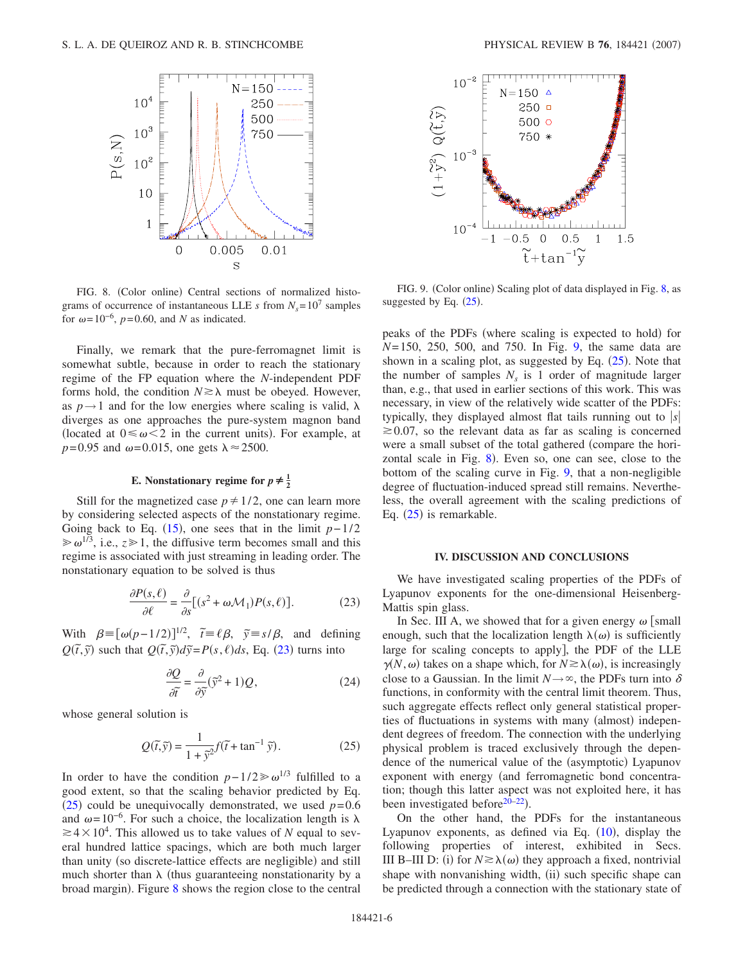<span id="page-5-2"></span>

FIG. 8. (Color online) Central sections of normalized histograms of occurrence of instantaneous LLE *s* from  $N_s = 10^7$  samples for  $\omega$ =10<sup>-6</sup>, *p*=0.60, and *N* as indicated.

Finally, we remark that the pure-ferromagnet limit is somewhat subtle, because in order to reach the stationary regime of the FP equation where the *N*-independent PDF forms hold, the condition  $N \ge \lambda$  must be obeyed. However, as  $p \rightarrow 1$  and for the low energies where scaling is valid,  $\lambda$ diverges as one approaches the pure-system magnon band (located at  $0 \le \omega \le 2$  in the current units). For example, at  $p=0.95$  and  $\omega=0.015$ , one gets  $\lambda \approx 2500$ .

# **E.** Nonstationary regime for  $p \neq \frac{1}{2}$

Still for the magnetized case  $p \neq 1/2$ , one can learn more by considering selected aspects of the nonstationary regime. Going back to Eq.  $(15)$  $(15)$  $(15)$ , one sees that in the limit  $p-1/2$  $\gg \omega^{1/3}$ , i.e.,  $z \gg 1$ , the diffusive term becomes small and this regime is associated with just streaming in leading order. The nonstationary equation to be solved is thus

$$
\frac{\partial P(s,\ell)}{\partial \ell} = \frac{\partial}{\partial s} [(s^2 + \omega \mathcal{M}_1) P(s,\ell)].
$$
 (23)

<span id="page-5-0"></span>With  $\beta = [\omega(p-1/2)]^{1/2}$ ,  $\tilde{t} = \ell \beta$ ,  $\tilde{y} = s/\beta$ , and defining  $Q(\tilde{t}, \tilde{y})$  such that  $Q(\tilde{t}, \tilde{y})d\tilde{y} = P(s, \ell)ds$ , Eq. ([23](#page-5-0)) turns into

$$
\frac{\partial Q}{\partial \tilde{t}} = \frac{\partial}{\partial \tilde{y}} (\tilde{y}^2 + 1) Q, \tag{24}
$$

<span id="page-5-1"></span>whose general solution is

$$
Q(\tilde{t}, \tilde{y}) = \frac{1}{1 + \tilde{y}^2} f(\tilde{t} + \tan^{-1} \tilde{y}).
$$
 (25)

In order to have the condition  $p-1/2\geq \omega^{1/3}$  fulfilled to a good extent, so that the scaling behavior predicted by Eq. ([25](#page-5-1)) could be unequivocally demonstrated, we used  $p=0.6$ and  $\omega=10^{-6}$ . For such a choice, the localization length is  $\lambda$  $\geq 4 \times 10^4$ . This allowed us to take values of *N* equal to several hundred lattice spacings, which are both much larger than unity (so discrete-lattice effects are negligible) and still much shorter than  $\lambda$  (thus guaranteeing nonstationarity by a broad margin). Figure [8](#page-5-2) shows the region close to the central

<span id="page-5-3"></span>

FIG. 9. (Color online) Scaling plot of data displayed in Fig. [8,](#page-5-2) as suggested by Eq.  $(25)$  $(25)$  $(25)$ .

peaks of the PDFs (where scaling is expected to hold) for *N*=150, 250, 500, and 750. In Fig. [9,](#page-5-3) the same data are shown in a scaling plot, as suggested by Eq.  $(25)$  $(25)$  $(25)$ . Note that the number of samples  $N<sub>s</sub>$  is 1 order of magnitude larger than, e.g., that used in earlier sections of this work. This was necessary, in view of the relatively wide scatter of the PDFs: typically, they displayed almost flat tails running out to  $|s|$  $\approx 0.07$ , so the relevant data as far as scaling is concerned were a small subset of the total gathered (compare the hori-zontal scale in Fig. [8](#page-5-2)). Even so, one can see, close to the bottom of the scaling curve in Fig. [9,](#page-5-3) that a non-negligible degree of fluctuation-induced spread still remains. Nevertheless, the overall agreement with the scaling predictions of Eq.  $(25)$  $(25)$  $(25)$  is remarkable.

## **IV. DISCUSSION AND CONCLUSIONS**

We have investigated scaling properties of the PDFs of Lyapunov exponents for the one-dimensional Heisenberg-Mattis spin glass.

In Sec. III A, we showed that for a given energy  $\omega$  [small enough, such that the localization length  $\lambda(\omega)$  is sufficiently large for scaling concepts to apply, the PDF of the LLE  $\gamma$ (*N*,  $\omega$ ) takes on a shape which, for  $N \ge \lambda(\omega)$ , is increasingly close to a Gaussian. In the limit  $N \rightarrow \infty$ , the PDFs turn into  $\delta$ functions, in conformity with the central limit theorem. Thus, such aggregate effects reflect only general statistical properties of fluctuations in systems with many (almost) independent degrees of freedom. The connection with the underlying physical problem is traced exclusively through the dependence of the numerical value of the (asymptotic) Lyapunov exponent with energy (and ferromagnetic bond concentration; though this latter aspect was not exploited here, it has been investigated before $20-22$  $20-22$ ).

On the other hand, the PDFs for the instantaneous Lyapunov exponents, as defined via Eq.  $(10)$  $(10)$  $(10)$ , display the following properties of interest, exhibited in Secs. III B-III D: (i) for  $N \ge \lambda(\omega)$  they approach a fixed, nontrivial shape with nonvanishing width, (ii) such specific shape can be predicted through a connection with the stationary state of